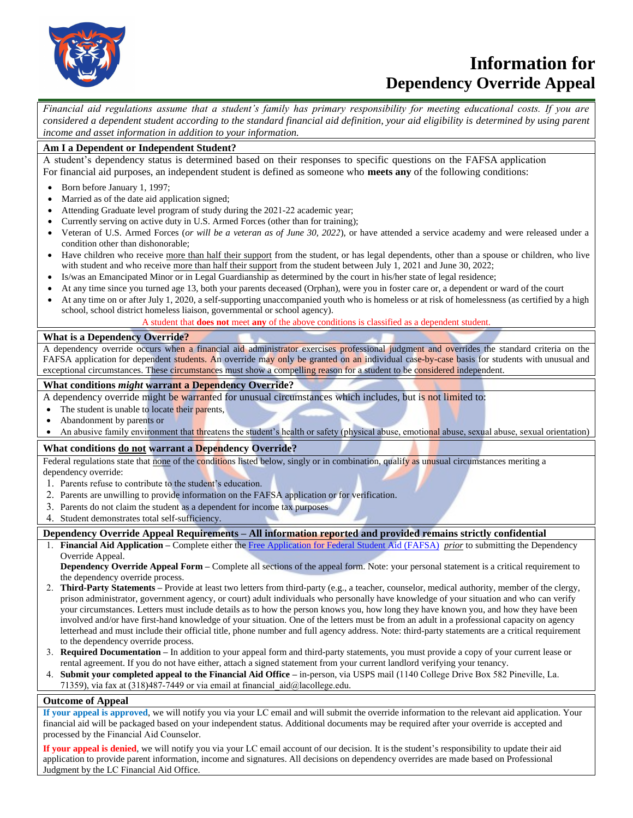

# **Information for Dependency Override Appeal**

*Financial aid regulations assume that a student's family has primary responsibility for meeting educational costs. If you are considered a dependent student according to the standard financial aid definition, your aid eligibility is determined by using parent income and asset information in addition to your information.*

## **Am I a Dependent or Independent Student?**

A student's dependency status is determined based on their responses to specific questions on the FAFSA application For financial aid purposes, an independent student is defined as someone who **meets any** of the following conditions:

- Born before January 1, 1997;
- Married as of the date aid application signed;
- Attending Graduate level program of study during the 2021-22 academic year;
- Currently serving on active duty in U.S. Armed Forces (other than for training);
- Veteran of U.S. Armed Forces (*or will be a veteran as of June 30, 2022*), or have attended a service academy and were released under a condition other than dishonorable;
- Have children who receive more than half their support from the student, or has legal dependents, other than a spouse or children, who live with student and who receive more than half their support from the student between July 1, 2021 and June 30, 2022;
- Is/was an Emancipated Minor or in Legal Guardianship as determined by the court in his/her state of legal residence;
- At any time since you turned age 13, both your parents deceased (Orphan), were you in foster care or, a dependent or ward of the court
- At any time on or after July 1, 2020, a self-supporting unaccompanied youth who is homeless or at risk of homelessness (as certified by a high school, school district homeless liaison, governmental or school agency).

A student that **does not** meet **any** of the above conditions is classified as a dependent student.

### **What is a Dependency Override?**

A dependency override occurs when a financial aid administrator exercises professional judgment and overrides the standard criteria on the FAFSA application for dependent students. An override may only be granted on an individual case-by-case basis for students with unusual and exceptional circumstances. These circumstances must show a compelling reason for a student to be considered independent.

### **What conditions** *might* **warrant a Dependency Override?**

A dependency override might be warranted for unusual circumstances which includes, but is not limited to:

- The student is unable to locate their parents,
- Abandonment by parents or
- An abusive family environment that threatens the student's health or safety (physical abuse, emotional abuse, sexual abuse, sexual orientation)

## **What conditions do not warrant a Dependency Override?**

Federal regulations state that none of the conditions listed below, singly or in combination, qualify as unusual circumstances meriting a dependency override:

- 1. Parents refuse to contribute to the student's education.
- 2. Parents are unwilling to provide information on the FAFSA application or for verification.
- 3. Parents do not claim the student as a dependent for income tax purposes
- 4. Student demonstrates total self-sufficiency.

### **Dependency Override Appeal Requirements – All information reported and provided remains strictly confidential**

1. **Financial Aid Application –** Complete either the [Free Application for Federal Student Aid \(FAFSA\)](https://fafsa.ed.gov/) *prior* [to submitting the Dependenc](https://dream.csac.ca.gov/)y Override Appeal.

**Dependency Override Appeal Form –** Complete all sections of the appeal form. Note: your personal statement is a critical requirement to the dependency override process.

- 2. **Third-Party Statements –** Provide at least two letters from third-party (e.g., a teacher, counselor, medical authority, member of the clergy, prison administrator, government agency, or court) adult individuals who personally have knowledge of your situation and who can verify your circumstances. Letters must include details as to how the person knows you, how long they have known you, and how they have been involved and/or have first-hand knowledge of your situation. One of the letters must be from an adult in a professional capacity on agency letterhead and must include their official title, phone number and full agency address. Note: third-party statements are a critical requirement to the dependency override process.
- 3. **Required Documentation –** In addition to your appeal form and third-party statements, you must provide a copy of your current lease or rental agreement. If you do not have either, attach a signed statement from your current landlord verifying your tenancy.
- 4. **Submit your completed appeal to the Financial Aid Office –** in-person, via USPS mail (1140 College Drive Box 582 Pineville, La.
- 71359), via fax at (318)487-7449 or via email at financial\_aid@lacollege.edu.

## **Outcome of Appeal**

**If your appeal is approved**, we will notify you via your LC email and will submit the override information to the relevant aid application. Your financial aid will be packaged based on your independent status. Additional documents may be required after your override is accepted and processed by the Financial Aid Counselor.

**If your appeal is denied**, we will notify you via your LC email account of our decision. It is the student's responsibility to update their aid application to provide parent information, income and signatures. All decisions on dependency overrides are made based on Professional Judgment by the LC Financial Aid Office.